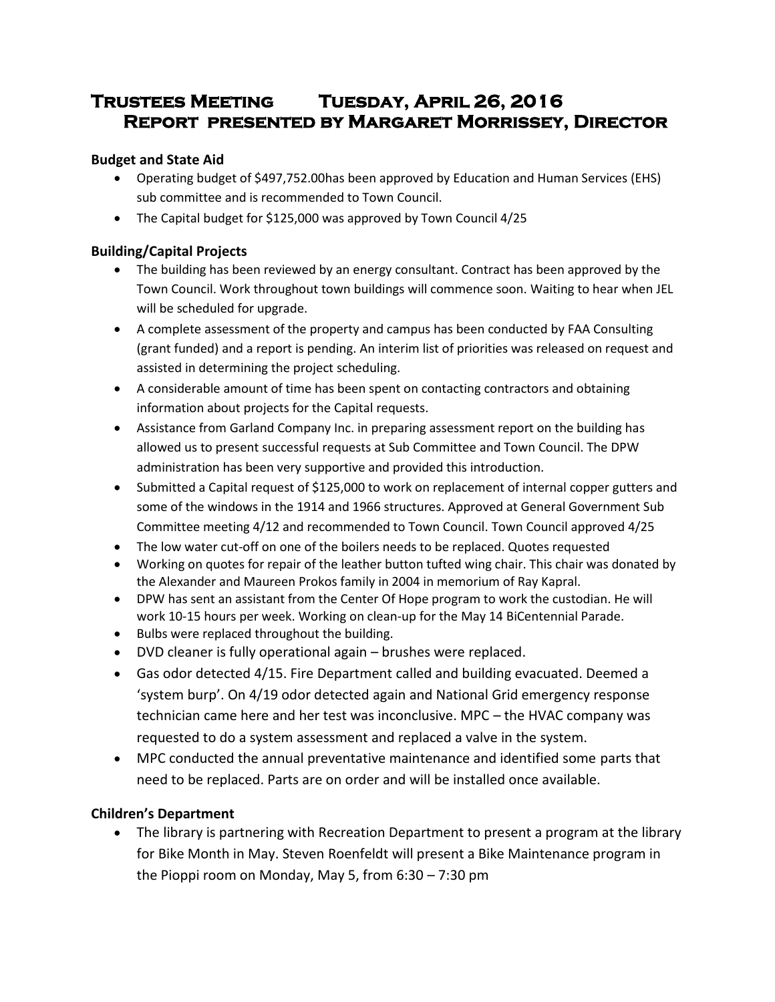# **Trustees Meeting Tuesday, April 26, 2016 Report presented by Margaret Morrissey, Director**

### **Budget and State Aid**

- Operating budget of \$497,752.00has been approved by Education and Human Services (EHS) sub committee and is recommended to Town Council.
- The Capital budget for \$125,000 was approved by Town Council 4/25

## **Building/Capital Projects**

- The building has been reviewed by an energy consultant. Contract has been approved by the Town Council. Work throughout town buildings will commence soon. Waiting to hear when JEL will be scheduled for upgrade.
- A complete assessment of the property and campus has been conducted by FAA Consulting (grant funded) and a report is pending. An interim list of priorities was released on request and assisted in determining the project scheduling.
- A considerable amount of time has been spent on contacting contractors and obtaining information about projects for the Capital requests.
- Assistance from Garland Company Inc. in preparing assessment report on the building has allowed us to present successful requests at Sub Committee and Town Council. The DPW administration has been very supportive and provided this introduction.
- Submitted a Capital request of \$125,000 to work on replacement of internal copper gutters and some of the windows in the 1914 and 1966 structures. Approved at General Government Sub Committee meeting 4/12 and recommended to Town Council. Town Council approved 4/25
- The low water cut-off on one of the boilers needs to be replaced. Quotes requested
- Working on quotes for repair of the leather button tufted wing chair. This chair was donated by the Alexander and Maureen Prokos family in 2004 in memorium of Ray Kapral.
- DPW has sent an assistant from the Center Of Hope program to work the custodian. He will work 10-15 hours per week. Working on clean-up for the May 14 BiCentennial Parade.
- Bulbs were replaced throughout the building.
- DVD cleaner is fully operational again brushes were replaced.
- Gas odor detected 4/15. Fire Department called and building evacuated. Deemed a 'system burp'. On 4/19 odor detected again and National Grid emergency response technician came here and her test was inconclusive. MPC – the HVAC company was requested to do a system assessment and replaced a valve in the system.
- MPC conducted the annual preventative maintenance and identified some parts that need to be replaced. Parts are on order and will be installed once available.

# **Children's Department**

 The library is partnering with Recreation Department to present a program at the library for Bike Month in May. Steven Roenfeldt will present a Bike Maintenance program in the Pioppi room on Monday, May 5, from 6:30 – 7:30 pm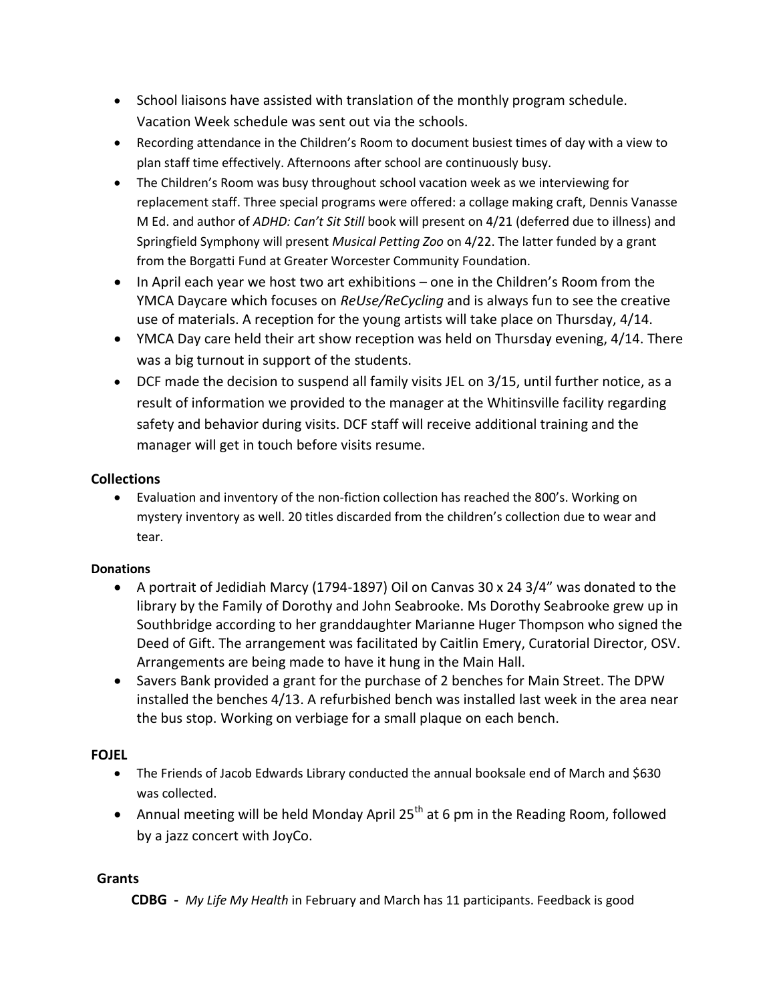- School liaisons have assisted with translation of the monthly program schedule. Vacation Week schedule was sent out via the schools.
- Recording attendance in the Children's Room to document busiest times of day with a view to plan staff time effectively. Afternoons after school are continuously busy.
- The Children's Room was busy throughout school vacation week as we interviewing for replacement staff. Three special programs were offered: a collage making craft, Dennis Vanasse M Ed. and author of *ADHD: Can't Sit Still* book will present on 4/21 (deferred due to illness) and Springfield Symphony will present *Musical Petting Zoo* on 4/22. The latter funded by a grant from the Borgatti Fund at Greater Worcester Community Foundation.
- In April each year we host two art exhibitions one in the Children's Room from the YMCA Daycare which focuses on *ReUse/ReCycling* and is always fun to see the creative use of materials. A reception for the young artists will take place on Thursday, 4/14.
- YMCA Day care held their art show reception was held on Thursday evening, 4/14. There was a big turnout in support of the students.
- DCF made the decision to suspend all family visits JEL on 3/15, until further notice, as a result of information we provided to the manager at the Whitinsville facility regarding safety and behavior during visits. DCF staff will receive additional training and the manager will get in touch before visits resume.

## **Collections**

 Evaluation and inventory of the non-fiction collection has reached the 800's. Working on mystery inventory as well. 20 titles discarded from the children's collection due to wear and tear.

### **Donations**

- A portrait of Jedidiah Marcy (1794-1897) Oil on Canvas 30 x 24 3/4" was donated to the library by the Family of Dorothy and John Seabrooke. Ms Dorothy Seabrooke grew up in Southbridge according to her granddaughter Marianne Huger Thompson who signed the Deed of Gift. The arrangement was facilitated by Caitlin Emery, Curatorial Director, OSV. Arrangements are being made to have it hung in the Main Hall.
- Savers Bank provided a grant for the purchase of 2 benches for Main Street. The DPW installed the benches 4/13. A refurbished bench was installed last week in the area near the bus stop. Working on verbiage for a small plaque on each bench.

# **FOJEL**

- The Friends of Jacob Edwards Library conducted the annual booksale end of March and \$630 was collected.
- Annual meeting will be held Monday April  $25<sup>th</sup>$  at 6 pm in the Reading Room, followed by a jazz concert with JoyCo.

### **Grants**

 **CDBG -** *My Life My Health* in February and March has 11 participants. Feedback is good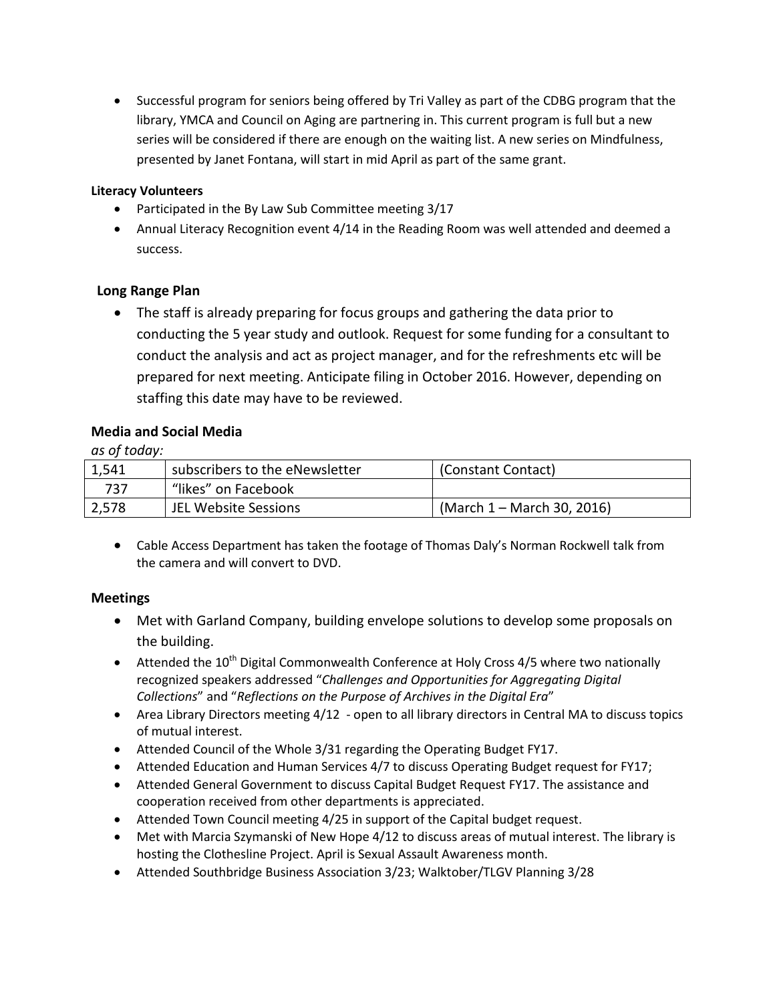• Successful program for seniors being offered by Tri Valley as part of the CDBG program that the library, YMCA and Council on Aging are partnering in. This current program is full but a new series will be considered if there are enough on the waiting list. A new series on Mindfulness, presented by Janet Fontana, will start in mid April as part of the same grant.

#### **Literacy Volunteers**

- Participated in the By Law Sub Committee meeting 3/17
- Annual Literacy Recognition event 4/14 in the Reading Room was well attended and deemed a success.

#### **Long Range Plan**

 The staff is already preparing for focus groups and gathering the data prior to conducting the 5 year study and outlook. Request for some funding for a consultant to conduct the analysis and act as project manager, and for the refreshments etc will be prepared for next meeting. Anticipate filing in October 2016. However, depending on staffing this date may have to be reviewed.

#### **Media and Social Media**

*as of today:*

| 1,541 | subscribers to the eNewsletter | (Constant Contact)         |
|-------|--------------------------------|----------------------------|
| 737   | "likes" on Facebook            |                            |
| 2,578 | JEL Website Sessions           | (March 1 – March 30, 2016) |

 Cable Access Department has taken the footage of Thomas Daly's Norman Rockwell talk from the camera and will convert to DVD.

#### **Meetings**

- Met with Garland Company, building envelope solutions to develop some proposals on the building.
- **•** Attended the  $10^{th}$  Digital Commonwealth Conference at Holy Cross 4/5 where two nationally recognized speakers addressed "*Challenges and Opportunities for Aggregating Digital Collections*" and "*Reflections on the Purpose of Archives in the Digital Era*"
- Area Library Directors meeting 4/12 open to all library directors in Central MA to discuss topics of mutual interest.
- Attended Council of the Whole 3/31 regarding the Operating Budget FY17.
- Attended Education and Human Services 4/7 to discuss Operating Budget request for FY17;
- Attended General Government to discuss Capital Budget Request FY17. The assistance and cooperation received from other departments is appreciated.
- Attended Town Council meeting 4/25 in support of the Capital budget request.
- Met with Marcia Szymanski of New Hope 4/12 to discuss areas of mutual interest. The library is hosting the Clothesline Project. April is Sexual Assault Awareness month.
- Attended Southbridge Business Association 3/23; Walktober/TLGV Planning 3/28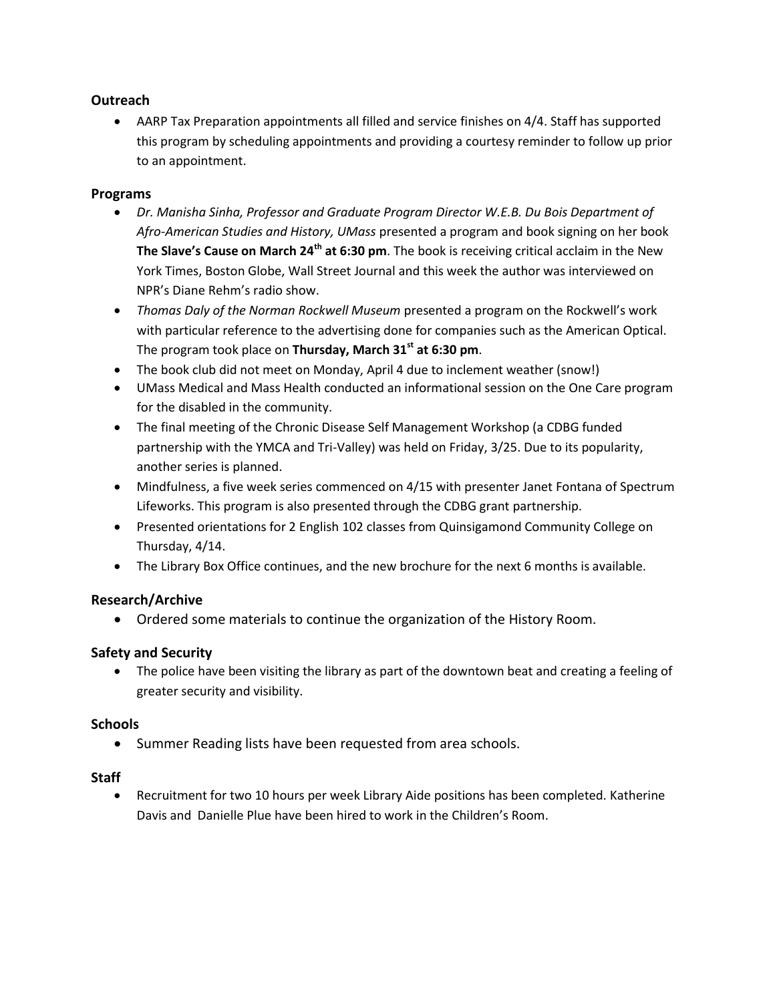#### **Outreach**

 AARP Tax Preparation appointments all filled and service finishes on 4/4. Staff has supported this program by scheduling appointments and providing a courtesy reminder to follow up prior to an appointment.

#### **Programs**

- *Dr. Manisha Sinha, Professor and Graduate Program Director W.E.B. Du Bois Department of Afro-American Studies and History, UMass* presented a program and book signing on her book **The Slave's Cause on March 24th at 6:30 pm**. The book is receiving critical acclaim in the New York Times, Boston Globe, Wall Street Journal and this week the author was interviewed on NPR's Diane Rehm's radio show.
- *Thomas Daly of the Norman Rockwell Museum* presented a program on the Rockwell's work with particular reference to the advertising done for companies such as the American Optical. The program took place on **Thursday, March 31st at 6:30 pm**.
- The book club did not meet on Monday, April 4 due to inclement weather (snow!)
- UMass Medical and Mass Health conducted an informational session on the One Care program for the disabled in the community.
- The final meeting of the Chronic Disease Self Management Workshop (a CDBG funded partnership with the YMCA and Tri-Valley) was held on Friday, 3/25. Due to its popularity, another series is planned.
- Mindfulness, a five week series commenced on 4/15 with presenter Janet Fontana of Spectrum Lifeworks. This program is also presented through the CDBG grant partnership.
- Presented orientations for 2 English 102 classes from Quinsigamond Community College on Thursday, 4/14.
- The Library Box Office continues, and the new brochure for the next 6 months is available.

#### **Research/Archive**

Ordered some materials to continue the organization of the History Room.

#### **Safety and Security**

 The police have been visiting the library as part of the downtown beat and creating a feeling of greater security and visibility.

#### **Schools**

• Summer Reading lists have been requested from area schools.

#### **Staff**

 Recruitment for two 10 hours per week Library Aide positions has been completed. Katherine Davis and Danielle Plue have been hired to work in the Children's Room.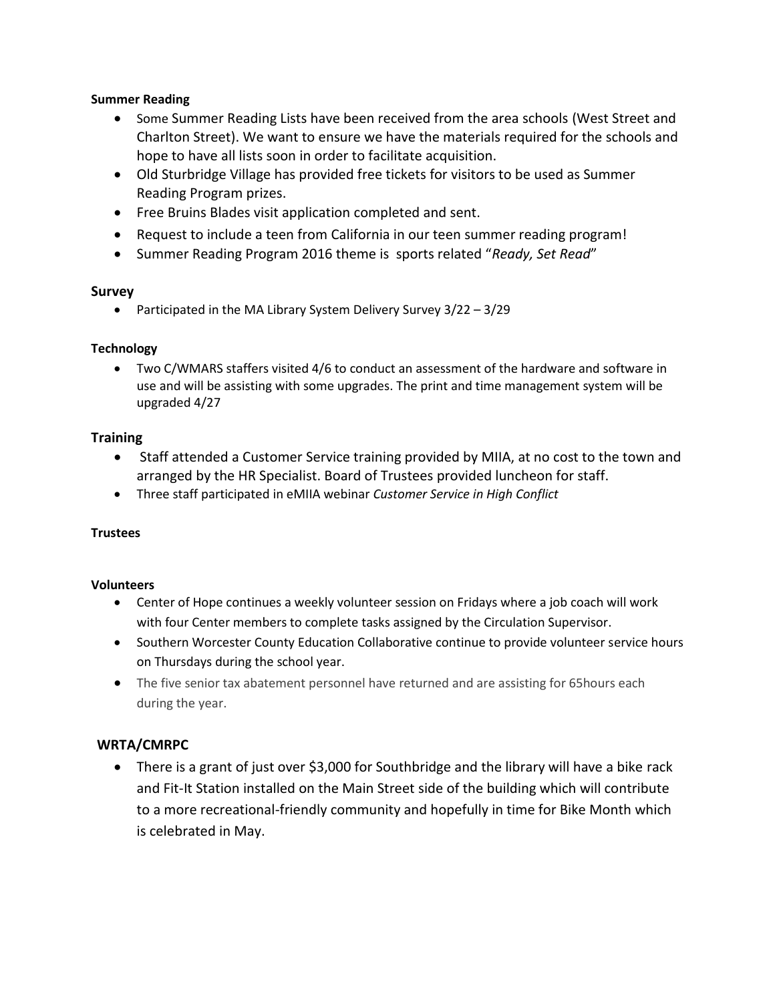#### **Summer Reading**

- Some Summer Reading Lists have been received from the area schools (West Street and Charlton Street). We want to ensure we have the materials required for the schools and hope to have all lists soon in order to facilitate acquisition.
- Old Sturbridge Village has provided free tickets for visitors to be used as Summer Reading Program prizes.
- Free Bruins Blades visit application completed and sent.
- Request to include a teen from California in our teen summer reading program!
- Summer Reading Program 2016 theme is sports related "*Ready, Set Read*"

#### **Survey**

• Participated in the MA Library System Delivery Survey  $3/22 - 3/29$ 

#### **Technology**

 Two C/WMARS staffers visited 4/6 to conduct an assessment of the hardware and software in use and will be assisting with some upgrades. The print and time management system will be upgraded 4/27

#### **Training**

- Staff attended a Customer Service training provided by MIIA, at no cost to the town and arranged by the HR Specialist. Board of Trustees provided luncheon for staff.
- Three staff participated in eMIIA webinar *Customer Service in High Conflict*

#### **Trustees**

#### **Volunteers**

- Center of Hope continues a weekly volunteer session on Fridays where a job coach will work with four Center members to complete tasks assigned by the Circulation Supervisor.
- Southern Worcester County Education Collaborative continue to provide volunteer service hours on Thursdays during the school year.
- The five senior tax abatement personnel have returned and are assisting for 65 hours each during the year.

#### **WRTA/CMRPC**

• There is a grant of just over \$3,000 for Southbridge and the library will have a bike rack and Fit-It Station installed on the Main Street side of the building which will contribute to a more recreational-friendly community and hopefully in time for Bike Month which is celebrated in May.